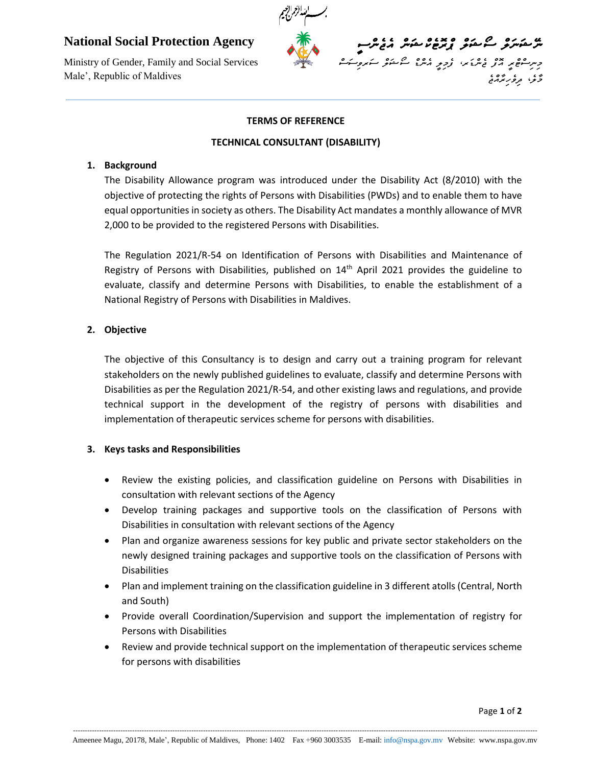# $\mathbf{r}$ **National Social Protection Agency**

Ministry of Gender, Family and Social Services Male', Republic of Maldives



#### **TERMS OF REFERENCE**

#### **TECHNICAL CONSULTANT (DISABILITY)**

### **1. Background**

The Disability Allowance program was introduced under the Disability Act (8/2010) with the objective of protecting the rights of Persons with Disabilities (PWDs) and to enable them to have equal opportunities in society as others. The Disability Act mandates a monthly allowance of MVR 2,000 to be provided to the registered Persons with Disabilities.

The Regulation 2021/R-54 on Identification of Persons with Disabilities and Maintenance of Registry of Persons with Disabilities, published on  $14<sup>th</sup>$  April 2021 provides the guideline to evaluate, classify and determine Persons with Disabilities, to enable the establishment of a National Registry of Persons with Disabilities in Maldives.

# **2. Objective**

The objective of this Consultancy is to design and carry out a training program for relevant stakeholders on the newly published guidelines to evaluate, classify and determine Persons with Disabilities as per the Regulation 2021/R-54, and other existing laws and regulations, and provide technical support in the development of the registry of persons with disabilities and implementation of therapeutic services scheme for persons with disabilities.

# **3. Keys tasks and Responsibilities**

- Review the existing policies, and classification guideline on Persons with Disabilities in consultation with relevant sections of the Agency
- Develop training packages and supportive tools on the classification of Persons with Disabilities in consultation with relevant sections of the Agency
- Plan and organize awareness sessions for key public and private sector stakeholders on the newly designed training packages and supportive tools on the classification of Persons with **Disabilities**
- Plan and implement training on the classification guideline in 3 different atolls (Central, North and South)
- Provide overall Coordination/Supervision and support the implementation of registry for Persons with Disabilities
- Review and provide technical support on the implementation of therapeutic services scheme for persons with disabilities

----------------------------------------------------------------------------------------------------------------------------------------------------------------------------------------------------